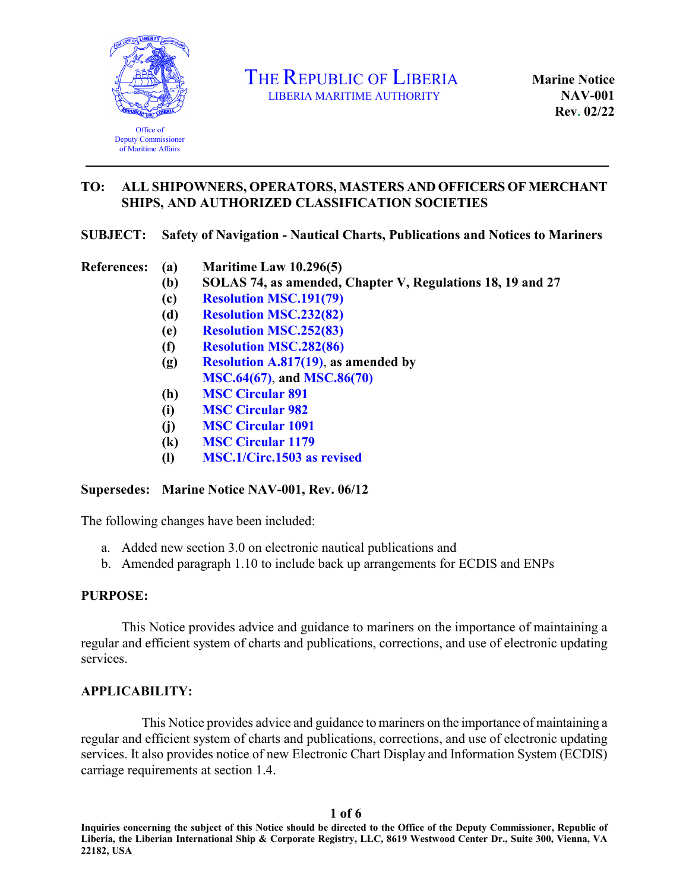

THE REPUBLIC OF LIBERIA LIBERIA MARITIME AUTHORITY

**Marine Notice NAV-001 Rev. 02/22** 

## **TO: ALL SHIPOWNERS, OPERATORS, MASTERS AND OFFICERS OF MERCHANT SHIPS, AND AUTHORIZED CLASSIFICATION SOCIETIES**

### **SUBJECT: Safety of Navigation - Nautical Charts, Publications and Notices to Mariners**

## **References: (a) Maritime Law 10.296(5)**

- **(b) SOLAS 74, as amended, Chapter V, Regulations 18, 19 and 27**
- **(c) [Resolution MSC](https://www.liscr.com/sites/default/files/liscr_imo_resolutions/MSC.191%2879%29.pdf).191(79)**
- **(d) [Resolution MSC.232\(82\)](https://www.liscr.com/sites/default/files/liscr_imo_resolutions/MSC.232%2882%29.pdf)**
- **(e) [Resolution MSC.252\(83\)](https://www.liscr.com/sites/default/files/liscr_imo_resolutions/MSC.252%2883%29.pdf)**
- **(f) [Resolution](https://www.liscr.com/sites/default/files/liscr_imo_resolutions/Res%20MSC.282%2886%29%20-%20ECDIS%20%20BNWAS.pdf) MSC.282(86)**
- **(g) [Resolution A.817\(19\)](https://www.liscr.com/sites/default/files/liscr_imo_resolutions/A.817%2819%29.pdf)**, **as amended by [MSC.64\(67\)](https://www.liscr.com/sites/default/files/liscr_imo_resolutions/MSC.64%2867%29.pdf)**, **and [MSC.86\(70\)](https://www.liscr.com/sites/default/files/liscr_imo_resolutions/MSC.86%2870%29.pdf)**
- **(h) MSC [Circular](https://www.liscr.com/sites/default/files/liscr_imo_resolutions/MSC-Circ.891.PDF) 891**
- **(i) MSC [Circular 982](https://www.liscr.com/sites/default/files/liscr_imo_resolutions/MSC%20Circ%20982%20Bridge%20Equip%20Layout.pdf)**
- **(j) MSC [Circular 1091](https://www.liscr.com/sites/default/files/MSC%20Cird.1091_pdf.pdf)**
- **(k) MSC [Circular](https://www.liscr.com/sites/default/files/MSC%20Circ.1179_pdf.pdf) 1179**
- **(l) [MSC.1/Circ.1503 as revised](https://www.liscr.com/sites/default/files/MSC.1-Circ.1503-Rev.1%20-%20Ecdis%20-%20Guidance%20For%20Good%20Practice%20%28Secretariat%29.pdf)**

### **Supersedes: Marine Notice NAV-001, Rev. 06/12**

The following changes have been included:

- a. Added new section 3.0 on electronic nautical publications and
- b. Amended paragraph 1.10 to include back up arrangements for ECDIS and ENPs

### **PURPOSE:**

This Notice provides advice and guidance to mariners on the importance of maintaining a regular and efficient system of charts and publications, corrections, and use of electronic updating services.

### **APPLICABILITY:**

This Notice provides advice and guidance to mariners on the importance of maintaining a regular and efficient system of charts and publications, corrections, and use of electronic updating services. It also provides notice of new Electronic Chart Display and Information System (ECDIS) carriage requirements at section 1.4.

#### **1 of 6**

**Inquiries concerning the subject of this Notice should be directed to the Office of the Deputy Commissioner, Republic of Liberia, the Liberian International Ship & Corporate Registry, LLC, 8619 Westwood Center Dr., Suite 300, Vienna, VA 22182, USA**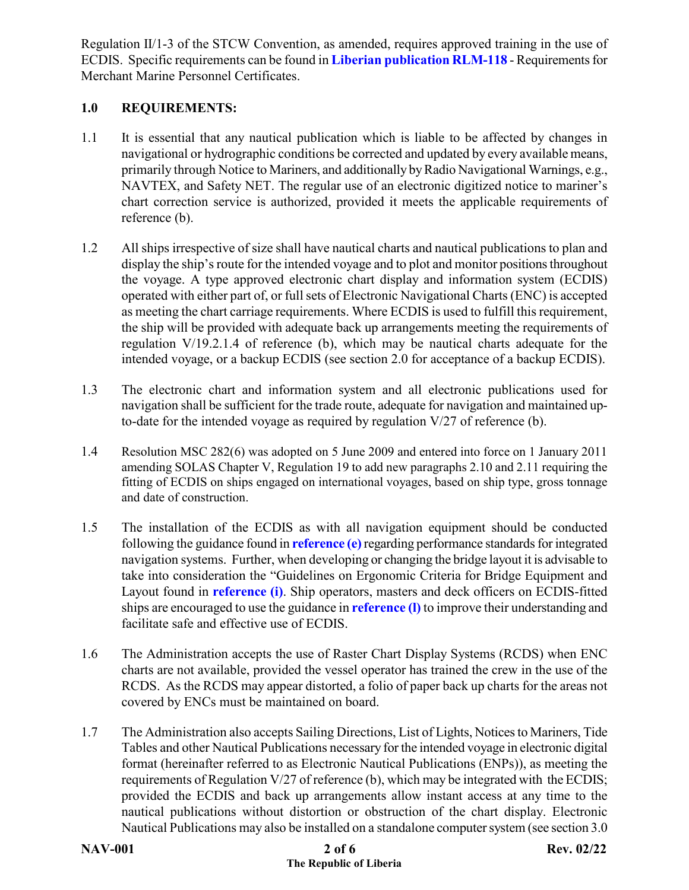Regulation II/1-3 of the STCW Convention, as amended, requires approved training in the use of ECDIS. Specific requirements can be found in **[Liberian publication RLM-118](https://www.liscr.com/seafarers-certification-documentation-filing-agents)** - Requirements for Merchant Marine Personnel Certificates.

## **1.0 REQUIREMENTS:**

- 1.1 It is essential that any nautical publication which is liable to be affected by changes in navigational or hydrographic conditions be corrected and updated by every available means, primarily through Notice to Mariners, and additionally by Radio Navigational Warnings, e.g., NAVTEX, and Safety NET. The regular use of an electronic digitized notice to mariner's chart correction service is authorized, provided it meets the applicable requirements of reference (b).
- 1.2 All ships irrespective of size shall have nautical charts and nautical publications to plan and display the ship's route for the intended voyage and to plot and monitor positions throughout the voyage. A type approved electronic chart display and information system (ECDIS) operated with either part of, or full sets of Electronic Navigational Charts (ENC) is accepted as meeting the chart carriage requirements. Where ECDIS is used to fulfill this requirement, the ship will be provided with adequate back up arrangements meeting the requirements of regulation V/19.2.1.4 of reference (b), which may be nautical charts adequate for the intended voyage, or a backup ECDIS (see section 2.0 for acceptance of a backup ECDIS).
- 1.3 The electronic chart and information system and all electronic publications used for navigation shall be sufficient for the trade route, adequate for navigation and maintained upto-date for the intended voyage as required by regulation V/27 of reference (b).
- 1.4 Resolution MSC 282(6) was adopted on 5 June 2009 and entered into force on 1 January 2011 amending SOLAS Chapter V, Regulation 19 to add new paragraphs 2.10 and 2.11 requiring the fitting of ECDIS on ships engaged on international voyages, based on ship type, gross tonnage and date of construction.
- 1.5 The installation of the ECDIS as with all navigation equipment should be conducted following the guidance found in **[reference \(e\)](https://www.liscr.com/sites/default/files/liscr_imo_resolutions/MSC.252%2883%29.pdf)** regarding performance standards for integrated navigation systems. Further, when developing or changing the bridge layout it is advisable to take into consideration the "Guidelines on Ergonomic Criteria for Bridge Equipment and Layout found in **[reference \(i\)](https://www.liscr.com/sites/default/files/liscr_imo_resolutions/MSC%20Circ%20982%20Bridge%20Equip%20Layout.pdf)**. Ship operators, masters and deck officers on ECDIS-fitted ships are encouraged to use the guidance in **[reference \(l\)](https://www.liscr.com/sites/default/files/MSC.1-Circ.1503-Rev.1%20-%20Ecdis%20-%20Guidance%20For%20Good%20Practice%20%28Secretariat%29.pdf)** to improve their understanding and facilitate safe and effective use of ECDIS.
- 1.6 The Administration accepts the use of Raster Chart Display Systems (RCDS) when ENC charts are not available, provided the vessel operator has trained the crew in the use of the RCDS. As the RCDS may appear distorted, a folio of paper back up charts for the areas not covered by ENCs must be maintained on board.
- 1.7 The Administration also accepts Sailing Directions, List of Lights, Notices to Mariners, Tide Tables and other Nautical Publications necessary for the intended voyage in electronic digital format (hereinafter referred to as Electronic Nautical Publications (ENPs)), as meeting the requirements of Regulation V/27 of reference (b), which may be integrated with the ECDIS; provided the ECDIS and back up arrangements allow instant access at any time to the nautical publications without distortion or obstruction of the chart display. Electronic Nautical Publications may also be installed on a standalone computer system (see section 3.0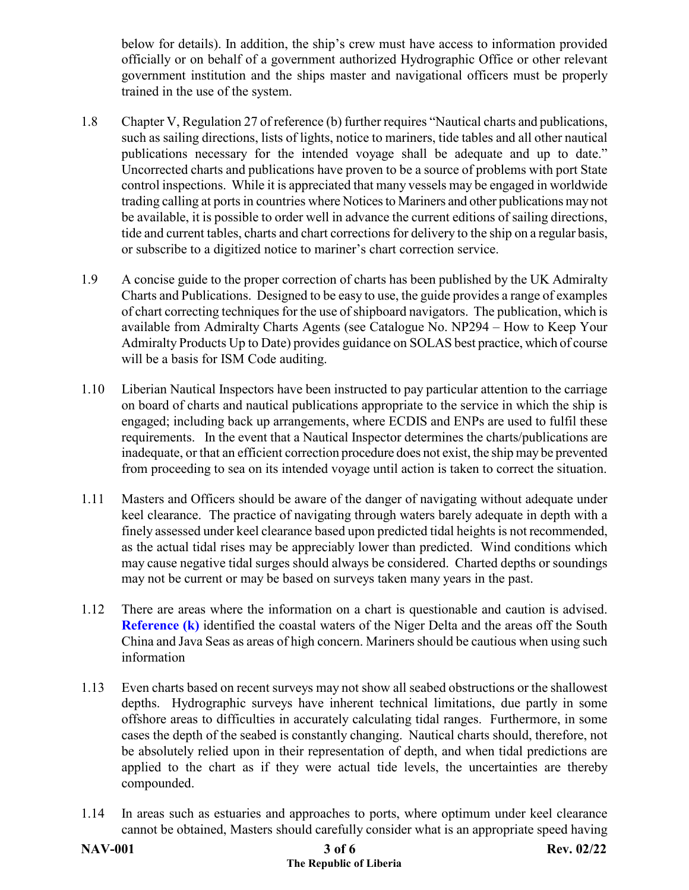below for details). In addition, the ship's crew must have access to information provided officially or on behalf of a government authorized Hydrographic Office or other relevant government institution and the ships master and navigational officers must be properly trained in the use of the system.

- 1.8 Chapter V, Regulation 27 of reference (b) further requires "Nautical charts and publications, such as sailing directions, lists of lights, notice to mariners, tide tables and all other nautical publications necessary for the intended voyage shall be adequate and up to date." Uncorrected charts and publications have proven to be a source of problems with port State control inspections. While it is appreciated that many vessels may be engaged in worldwide trading calling at ports in countries where Notices to Mariners and other publications may not be available, it is possible to order well in advance the current editions of sailing directions, tide and current tables, charts and chart corrections for delivery to the ship on a regular basis, or subscribe to a digitized notice to mariner's chart correction service.
- 1.9 A concise guide to the proper correction of charts has been published by the UK Admiralty Charts and Publications. Designed to be easy to use, the guide provides a range of examples of chart correcting techniques for the use of shipboard navigators. The publication, which is available from Admiralty Charts Agents (see Catalogue No. NP294 – How to Keep Your Admiralty Products Up to Date) provides guidance on SOLAS best practice, which of course will be a basis for ISM Code auditing.
- 1.10 Liberian Nautical Inspectors have been instructed to pay particular attention to the carriage on board of charts and nautical publications appropriate to the service in which the ship is engaged; including back up arrangements, where ECDIS and ENPs are used to fulfil these requirements. In the event that a Nautical Inspector determines the charts/publications are inadequate, or that an efficient correction procedure does not exist, the ship may be prevented from proceeding to sea on its intended voyage until action is taken to correct the situation.
- 1.11 Masters and Officers should be aware of the danger of navigating without adequate under keel clearance. The practice of navigating through waters barely adequate in depth with a finely assessed under keel clearance based upon predicted tidal heights is not recommended, as the actual tidal rises may be appreciably lower than predicted. Wind conditions which may cause negative tidal surges should always be considered. Charted depths or soundings may not be current or may be based on surveys taken many years in the past.
- 1.12 There are areas where the information on a chart is questionable and caution is advised. **Reference (k)** identified the coastal waters of the Niger Delta and the areas off the South China and Java Seas as areas of high concern. Mariners should be cautious when using such information
- 1.13 Even charts based on recent surveys may not show all seabed obstructions or the shallowest depths. Hydrographic surveys have inherent technical limitations, due partly in some offshore areas to difficulties in accurately calculating tidal ranges. Furthermore, in some cases the depth of the seabed is constantly changing. Nautical charts should, therefore, not be absolutely relied upon in their representation of depth, and when tidal predictions are applied to the chart as if they were actual tide levels, the uncertainties are thereby compounded.
- 1.14 In areas such as estuaries and approaches to ports, where optimum under keel clearance cannot be obtained, Masters should carefully consider what is an appropriate speed having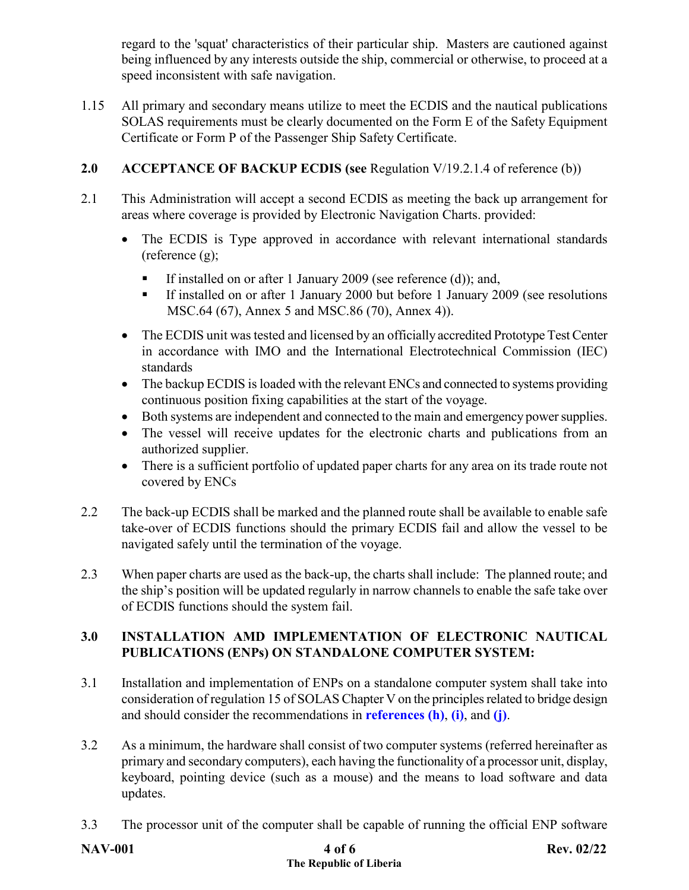regard to the 'squat' characteristics of their particular ship. Masters are cautioned against being influenced by any interests outside the ship, commercial or otherwise, to proceed at a speed inconsistent with safe navigation.

1.15 All primary and secondary means utilize to meet the ECDIS and the nautical publications SOLAS requirements must be clearly documented on the Form E of the Safety Equipment Certificate or Form P of the Passenger Ship Safety Certificate.

# **2.0 ACCEPTANCE OF BACKUP ECDIS (see** Regulation V/19.2.1.4 of reference (b))

- 2.1This Administration will accept a second ECDIS as meeting the back up arrangement for areas where coverage is provided by Electronic Navigation Charts. provided:
	- The ECDIS is Type approved in accordance with relevant international standards (reference (g);
		- If installed on or after 1 January 2009 (see reference (d)); and,
		- If installed on or after 1 January 2000 but before 1 January 2009 (see resolutions MSC.64 (67), Annex 5 and MSC.86 (70), Annex 4)).
	- The ECDIS unit was tested and licensed by an officially accredited Prototype Test Center in accordance with IMO and the International Electrotechnical Commission (IEC) standards
	- The backup ECDIS is loaded with the relevant ENCs and connected to systems providing continuous position fixing capabilities at the start of the voyage.
	- Both systems are independent and connected to the main and emergency power supplies.
	- The vessel will receive updates for the electronic charts and publications from an authorized supplier.
	- There is a sufficient portfolio of updated paper charts for any area on its trade route not covered by ENCs
- 2.2 The back-up ECDIS shall be marked and the planned route shall be available to enable safe take-over of ECDIS functions should the primary ECDIS fail and allow the vessel to be navigated safely until the termination of the voyage.
- 2.3 When paper charts are used as the back-up, the charts shall include: The planned route; and the ship's position will be updated regularly in narrow channels to enable the safe take over of ECDIS functions should the system fail.

# **3.0 INSTALLATION AMD IMPLEMENTATION OF ELECTRONIC NAUTICAL PUBLICATIONS (ENPs) ON STANDALONE COMPUTER SYSTEM:**

- 3.1 Installation and implementation of ENPs on a standalone computer system shall take into consideration of regulation 15 of SOLAS Chapter V on the principles related to bridge design and should consider the recommendations in **references [\(h\)](https://www.liscr.com/sites/default/files/liscr_imo_resolutions/MSC-Circ.891.PDF)**, **[\(i\)](https://www.liscr.com/sites/default/files/liscr_imo_resolutions/MSC%20Circ%20982%20Bridge%20Equip%20Layout.pdf)**, and **[\(j\)](https://www.liscr.com/sites/default/files/MSC%20Cird.1091_pdf.pdf)**.
- 3.2 As a minimum, the hardware shall consist of two computer systems (referred hereinafter as primary and secondary computers), each having the functionality of a processor unit, display, keyboard, pointing device (such as a mouse) and the means to load software and data updates.
- 3.3 The processor unit of the computer shall be capable of running the official ENP software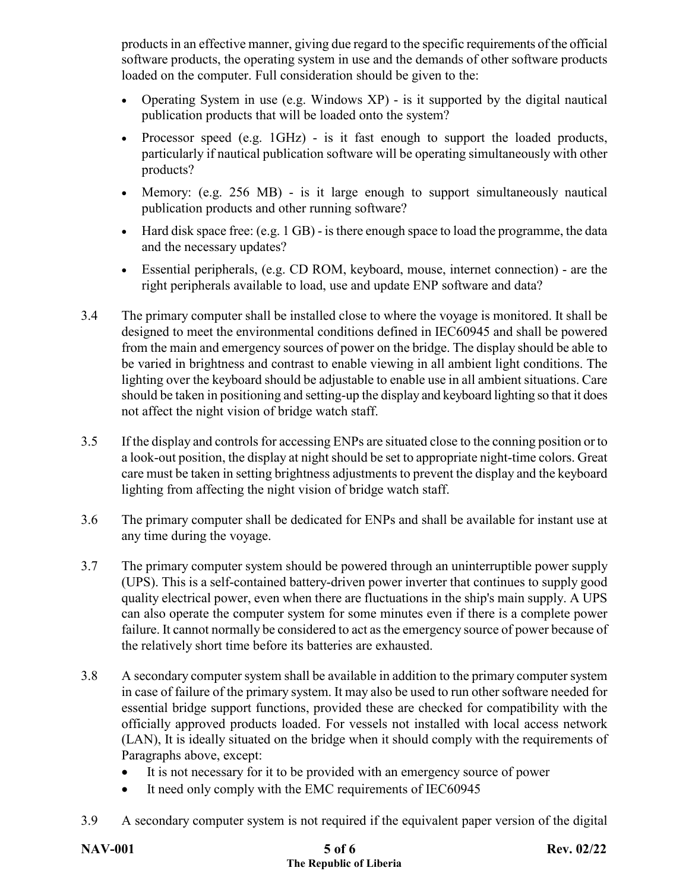products in an effective manner, giving due regard to the specific requirements of the official software products, the operating system in use and the demands of other software products loaded on the computer. Full consideration should be given to the:

- Operating System in use (e.g. Windows XP) is it supported by the digital nautical publication products that will be loaded onto the system?
- Processor speed (e.g. 1GHz) is it fast enough to support the loaded products, particularly if nautical publication software will be operating simultaneously with other products?
- Memory: (e.g. 256 MB) is it large enough to support simultaneously nautical publication products and other running software?
- Hard disk space free: (e.g. 1 GB) is there enough space to load the programme, the data and the necessary updates?
- Essential peripherals, (e.g. CD ROM, keyboard, mouse, internet connection) are the right peripherals available to load, use and update ENP software and data?
- 3.4 The primary computer shall be installed close to where the voyage is monitored. It shall be designed to meet the environmental conditions defined in IEC60945 and shall be powered from the main and emergency sources of power on the bridge. The display should be able to be varied in brightness and contrast to enable viewing in all ambient light conditions. The lighting over the keyboard should be adjustable to enable use in all ambient situations. Care should be taken in positioning and setting-up the display and keyboard lighting so that it does not affect the night vision of bridge watch staff.
- 3.5 If the display and controls for accessing ENPs are situated close to the conning position or to a look-out position, the display at night should be set to appropriate night-time colors. Great care must be taken in setting brightness adjustments to prevent the display and the keyboard lighting from affecting the night vision of bridge watch staff.
- 3.6 The primary computer shall be dedicated for ENPs and shall be available for instant use at any time during the voyage.
- 3.7 The primary computer system should be powered through an uninterruptible power supply (UPS). This is a self-contained battery-driven power inverter that continues to supply good quality electrical power, even when there are fluctuations in the ship's main supply. A UPS can also operate the computer system for some minutes even if there is a complete power failure. It cannot normally be considered to act as the emergency source of power because of the relatively short time before its batteries are exhausted.
- 3.8 A secondary computer system shall be available in addition to the primary computer system in case of failure of the primary system. It may also be used to run other software needed for essential bridge support functions, provided these are checked for compatibility with the officially approved products loaded. For vessels not installed with local access network (LAN), It is ideally situated on the bridge when it should comply with the requirements of Paragraphs above, except:
	- It is not necessary for it to be provided with an emergency source of power
	- It need only comply with the EMC requirements of IEC60945
- 3.9 A secondary computer system is not required if the equivalent paper version of the digital

| <b>NAV-001</b> | 5 of 6                  | <b>Rev. 02/22</b> |
|----------------|-------------------------|-------------------|
|                | The Republic of Liberia |                   |